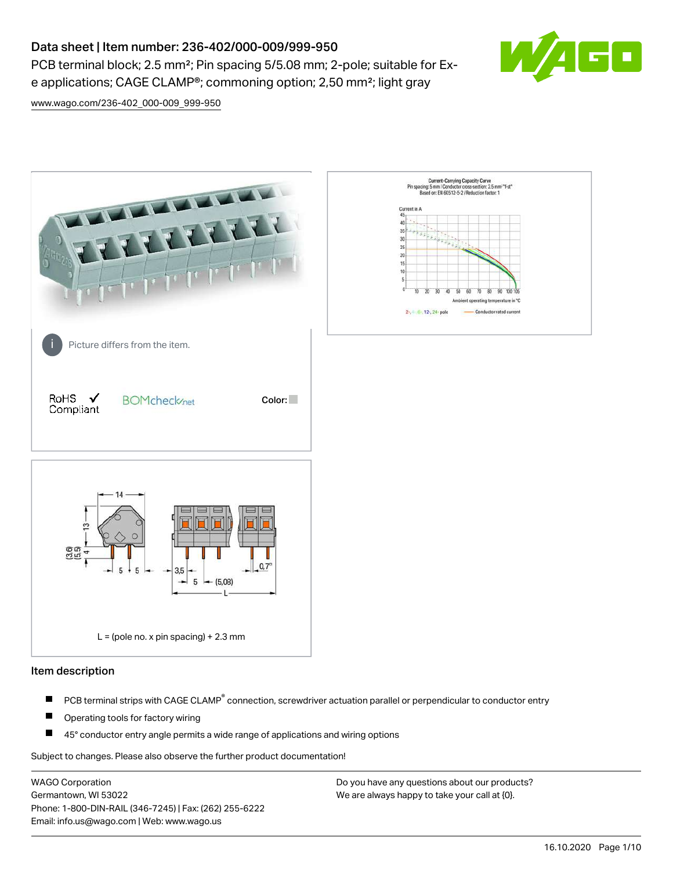# Data sheet | Item number: 236-402/000-009/999-950

PCB terminal block; 2.5 mm<sup>2</sup>; Pin spacing 5/5.08 mm; 2-pole; suitable for Exe applications; CAGE CLAMP®; commoning option; 2,50 mm²; light gray



[www.wago.com/236-402\\_000-009\\_999-950](http://www.wago.com/236-402_000-009_999-950)



#### Item description

- PCB terminal strips with CAGE CLAMP<sup>®</sup> connection, screwdriver actuation parallel or perpendicular to conductor entry П
- П Operating tools for factory wiring
- П 45° conductor entry angle permits a wide range of applications and wiring options

Subject to changes. Please also observe the further product documentation!

WAGO Corporation Germantown, WI 53022 Phone: 1-800-DIN-RAIL (346-7245) | Fax: (262) 255-6222 Email: info.us@wago.com | Web: www.wago.us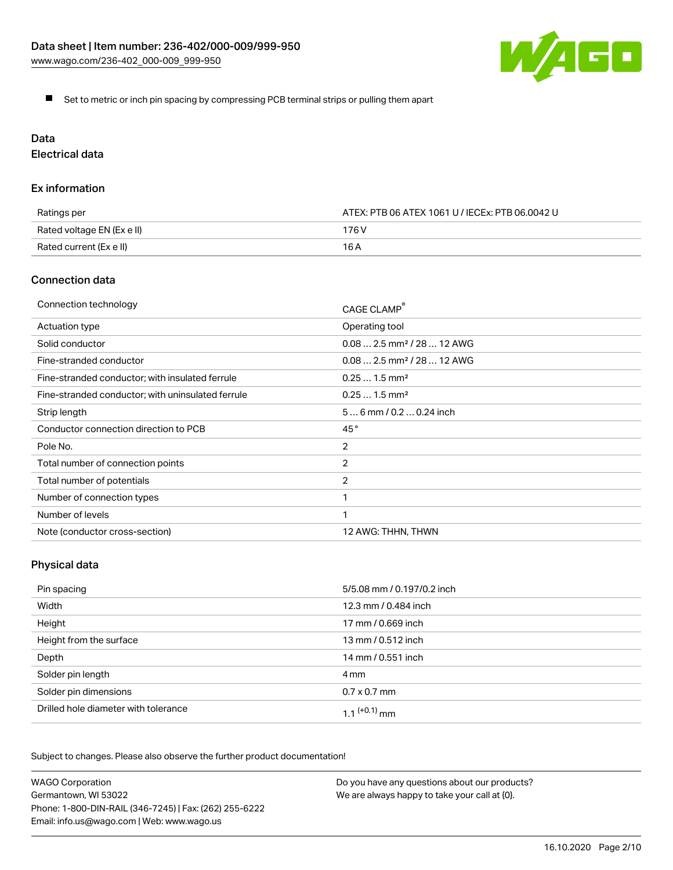

Set to metric or inch pin spacing by compressing PCB terminal strips or pulling them apart

## Data

Electrical data

### Ex information

| Ratings per                | ATEX: PTB 06 ATEX 1061 U / IECEx: PTB 06.0042 U |  |
|----------------------------|-------------------------------------------------|--|
| Rated voltage EN (Ex e II) | 176 V                                           |  |
| Rated current (Ex e II)    | 16 A                                            |  |

## Connection data

| Connection technology                             | CAGE CLAMP®                            |
|---------------------------------------------------|----------------------------------------|
| Actuation type                                    | Operating tool                         |
| Solid conductor                                   | $0.082.5$ mm <sup>2</sup> / 28  12 AWG |
| Fine-stranded conductor                           | $0.082.5$ mm <sup>2</sup> / 28  12 AWG |
| Fine-stranded conductor; with insulated ferrule   | $0.251.5$ mm <sup>2</sup>              |
| Fine-stranded conductor; with uninsulated ferrule | $0.251.5$ mm <sup>2</sup>              |
| Strip length                                      | $56$ mm / 0.2 $$ 0.24 inch             |
| Conductor connection direction to PCB             | 45°                                    |
| Pole No.                                          | $\overline{2}$                         |
| Total number of connection points                 | 2                                      |
| Total number of potentials                        | $\overline{2}$                         |
| Number of connection types                        |                                        |
| Number of levels                                  | 1                                      |
| Note (conductor cross-section)                    | 12 AWG: THHN, THWN                     |

## Physical data

| Pin spacing                          | 5/5.08 mm / 0.197/0.2 inch |
|--------------------------------------|----------------------------|
| Width                                | 12.3 mm / 0.484 inch       |
| Height                               | 17 mm / 0.669 inch         |
| Height from the surface              | 13 mm / 0.512 inch         |
| Depth                                | 14 mm / 0.551 inch         |
| Solder pin length                    | 4 mm                       |
| Solder pin dimensions                | $0.7 \times 0.7$ mm        |
| Drilled hole diameter with tolerance | $1.1$ <sup>(+0.1)</sup> mm |

Subject to changes. Please also observe the further product documentation!

| <b>WAGO Corporation</b>                                | Do you have any questions about our products? |
|--------------------------------------------------------|-----------------------------------------------|
| Germantown, WI 53022                                   | We are always happy to take your call at {0}. |
| Phone: 1-800-DIN-RAIL (346-7245)   Fax: (262) 255-6222 |                                               |
| Email: info.us@wago.com   Web: www.wago.us             |                                               |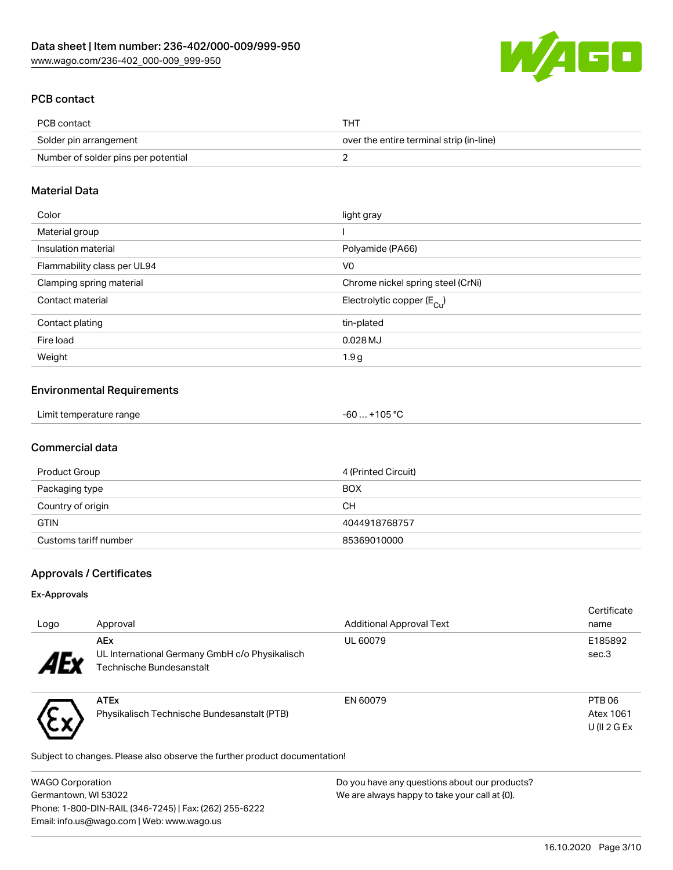

## PCB contact

| PCB contact                         | THT                                      |
|-------------------------------------|------------------------------------------|
| Solder pin arrangement              | over the entire terminal strip (in-line) |
| Number of solder pins per potential |                                          |

## Material Data

| Color                       | light gray                             |
|-----------------------------|----------------------------------------|
| Material group              |                                        |
| Insulation material         | Polyamide (PA66)                       |
| Flammability class per UL94 | V <sub>0</sub>                         |
| Clamping spring material    | Chrome nickel spring steel (CrNi)      |
| Contact material            | Electrolytic copper (E <sub>Cu</sub> ) |
| Contact plating             | tin-plated                             |
| Fire load                   | $0.028$ MJ                             |
| Weight                      | 1.9 <sub>g</sub>                       |

## Environmental Requirements

| Limit temperature range | $-60+105 °C$ |
|-------------------------|--------------|
|-------------------------|--------------|

## Commercial data

| Product Group         | 4 (Printed Circuit) |
|-----------------------|---------------------|
| Packaging type        | <b>BOX</b>          |
| Country of origin     | CН                  |
| <b>GTIN</b>           | 4044918768757       |
| Customs tariff number | 85369010000         |

## Approvals / Certificates

### Ex-Approvals

いへ

| Logo                      | Approval                                                     | <b>Additional Approval Text</b> | Certificate<br>name |
|---------------------------|--------------------------------------------------------------|---------------------------------|---------------------|
| $\boldsymbol{A}$ Exponent | <b>AEx</b><br>UL International Germany GmbH c/o Physikalisch | UL 60079                        | E185892<br>sec.3    |
|                           | Technische Bundesanstalt                                     |                                 |                     |
|                           | <b>ATEx</b>                                                  | EN 60079                        | PTB <sub>06</sub>   |
|                           | Physikalisch Technische Bundesanstalt (PTB)                  |                                 | Atex 1061           |
|                           |                                                              |                                 | $U$ (II 2 G Ex      |

Subject to changes. Please also observe the further product documentation!

| WAGO Corporation                                       | Do you have any questions about our products? |
|--------------------------------------------------------|-----------------------------------------------|
| Germantown, WI 53022                                   | We are always happy to take your call at {0}. |
| Phone: 1-800-DIN-RAIL (346-7245)   Fax: (262) 255-6222 |                                               |
| Email: info.us@wago.com   Web: www.wago.us             |                                               |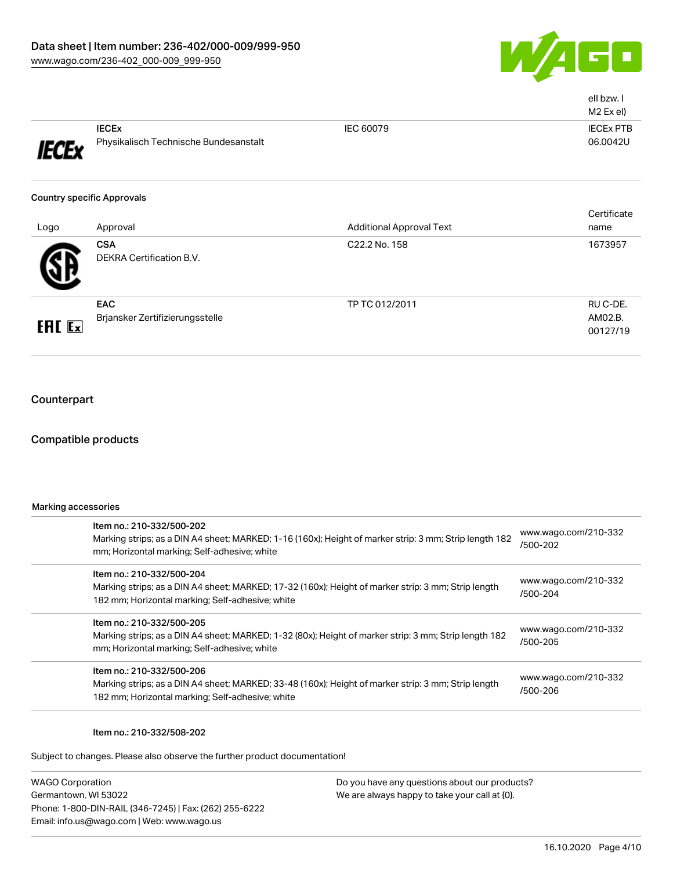

|               |                                                       |                                 | ell bzw. I<br>M2 Ex el)         |
|---------------|-------------------------------------------------------|---------------------------------|---------------------------------|
| <b>IECEx</b>  | <b>IECEX</b><br>Physikalisch Technische Bundesanstalt | IEC 60079                       | <b>IECEX PTB</b><br>06.0042U    |
|               | <b>Country specific Approvals</b>                     |                                 | Certificate                     |
| Logo          | Approval                                              | <b>Additional Approval Text</b> | name                            |
|               | <b>CSA</b><br>DEKRA Certification B.V.                | C22.2 No. 158                   | 1673957                         |
| <b>EAL EX</b> | EAC<br>Brjansker Zertifizierungsstelle                | TP TC 012/2011                  | RU C-DE.<br>AM02.B.<br>00127/19 |

## **Counterpart**

## Compatible products

| Marking accessories |                                                                                                                                                                                      |                                  |  |
|---------------------|--------------------------------------------------------------------------------------------------------------------------------------------------------------------------------------|----------------------------------|--|
|                     | Item no.: 210-332/500-202<br>Marking strips; as a DIN A4 sheet; MARKED; 1-16 (160x); Height of marker strip: 3 mm; Strip length 182<br>mm; Horizontal marking; Self-adhesive; white  | www.wago.com/210-332<br>/500-202 |  |
|                     | Item no.: 210-332/500-204<br>Marking strips; as a DIN A4 sheet; MARKED; 17-32 (160x); Height of marker strip: 3 mm; Strip length<br>182 mm; Horizontal marking; Self-adhesive; white | www.wago.com/210-332<br>/500-204 |  |
|                     | Item no.: 210-332/500-205<br>Marking strips; as a DIN A4 sheet; MARKED; 1-32 (80x); Height of marker strip: 3 mm; Strip length 182<br>mm; Horizontal marking; Self-adhesive; white   | www.wago.com/210-332<br>/500-205 |  |
|                     | Item no.: 210-332/500-206<br>Marking strips; as a DIN A4 sheet; MARKED; 33-48 (160x); Height of marker strip: 3 mm; Strip length<br>182 mm; Horizontal marking; Self-adhesive; white | www.wago.com/210-332<br>/500-206 |  |
|                     |                                                                                                                                                                                      |                                  |  |

### Item no.: 210-332/508-202

Subject to changes. Please also observe the further product documentation!

WAGO Corporation Germantown, WI 53022 Phone: 1-800-DIN-RAIL (346-7245) | Fax: (262) 255-6222 Email: info.us@wago.com | Web: www.wago.us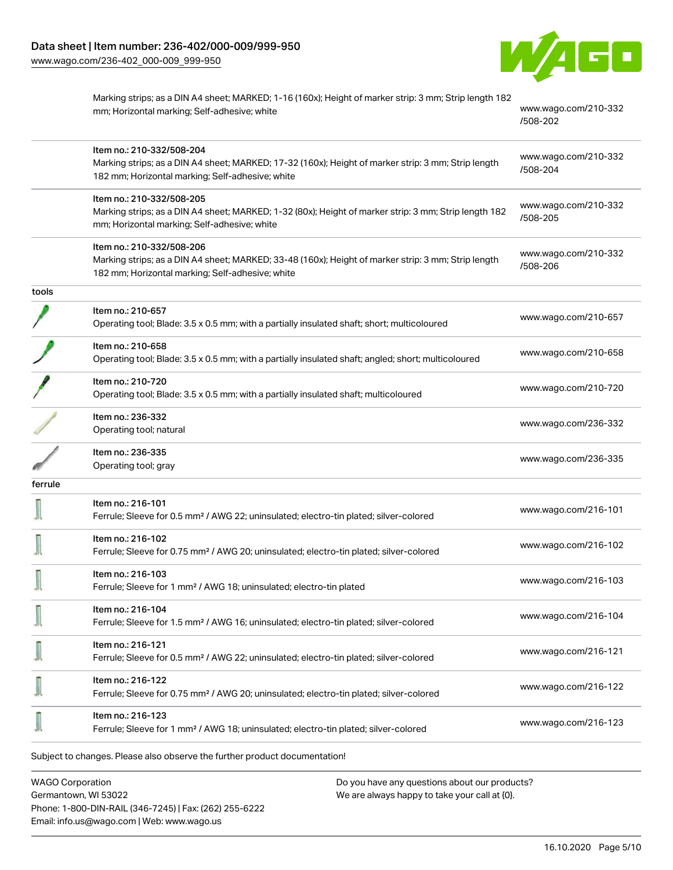[www.wago.com/236-402\\_000-009\\_999-950](http://www.wago.com/236-402_000-009_999-950)



|         | Marking strips; as a DIN A4 sheet; MARKED; 1-16 (160x); Height of marker strip: 3 mm; Strip length 182<br>mm; Horizontal marking; Self-adhesive; white                               | www.wago.com/210-332<br>/508-202 |
|---------|--------------------------------------------------------------------------------------------------------------------------------------------------------------------------------------|----------------------------------|
|         | Item no.: 210-332/508-204<br>Marking strips; as a DIN A4 sheet; MARKED; 17-32 (160x); Height of marker strip: 3 mm; Strip length<br>182 mm; Horizontal marking; Self-adhesive; white | www.wago.com/210-332<br>/508-204 |
|         | Item no.: 210-332/508-205<br>Marking strips; as a DIN A4 sheet; MARKED; 1-32 (80x); Height of marker strip: 3 mm; Strip length 182<br>mm; Horizontal marking; Self-adhesive; white   | www.wago.com/210-332<br>/508-205 |
|         | Item no.: 210-332/508-206<br>Marking strips; as a DIN A4 sheet; MARKED; 33-48 (160x); Height of marker strip: 3 mm; Strip length<br>182 mm; Horizontal marking; Self-adhesive; white | www.wago.com/210-332<br>/508-206 |
| tools   |                                                                                                                                                                                      |                                  |
|         | Item no.: 210-657<br>Operating tool; Blade: 3.5 x 0.5 mm; with a partially insulated shaft; short; multicoloured                                                                     | www.wago.com/210-657             |
|         | Item no.: 210-658<br>Operating tool; Blade: 3.5 x 0.5 mm; with a partially insulated shaft; angled; short; multicoloured                                                             | www.wago.com/210-658             |
|         | Item no.: 210-720<br>Operating tool; Blade: 3.5 x 0.5 mm; with a partially insulated shaft; multicoloured                                                                            | www.wago.com/210-720             |
|         | Item no.: 236-332<br>Operating tool; natural                                                                                                                                         | www.wago.com/236-332             |
|         | Item no.: 236-335<br>Operating tool; gray                                                                                                                                            | www.wago.com/236-335             |
| ferrule |                                                                                                                                                                                      |                                  |
|         | Item no.: 216-101<br>Ferrule; Sleeve for 0.5 mm <sup>2</sup> / AWG 22; uninsulated; electro-tin plated; silver-colored                                                               | www.wago.com/216-101             |
|         | Item no.: 216-102<br>Ferrule; Sleeve for 0.75 mm <sup>2</sup> / AWG 20; uninsulated; electro-tin plated; silver-colored                                                              | www.wago.com/216-102             |
| 163.7   | Item no.: 216-103<br>Ferrule; Sleeve for 1 mm <sup>2</sup> / AWG 18; uninsulated; electro-tin plated                                                                                 | www.wago.com/216-103             |
|         | Item no.: 216-104<br>Ferrule; Sleeve for 1.5 mm <sup>2</sup> / AWG 16; uninsulated; electro-tin plated; silver-colored                                                               | www.wago.com/216-104             |
|         | Item no.: 216-121<br>Ferrule; Sleeve for 0.5 mm <sup>2</sup> / AWG 22; uninsulated; electro-tin plated; silver-colored                                                               | www.wago.com/216-121             |
|         | Item no.: 216-122<br>Ferrule; Sleeve for 0.75 mm <sup>2</sup> / AWG 20; uninsulated; electro-tin plated; silver-colored                                                              | www.wago.com/216-122             |
|         | Item no.: 216-123<br>Ferrule; Sleeve for 1 mm <sup>2</sup> / AWG 18; uninsulated; electro-tin plated; silver-colored                                                                 | www.wago.com/216-123             |
|         | Subject to changes. Please also observe the further product documentation!                                                                                                           |                                  |

WAGO Corporation Germantown, WI 53022 Phone: 1-800-DIN-RAIL (346-7245) | Fax: (262) 255-6222 Email: info.us@wago.com | Web: www.wago.us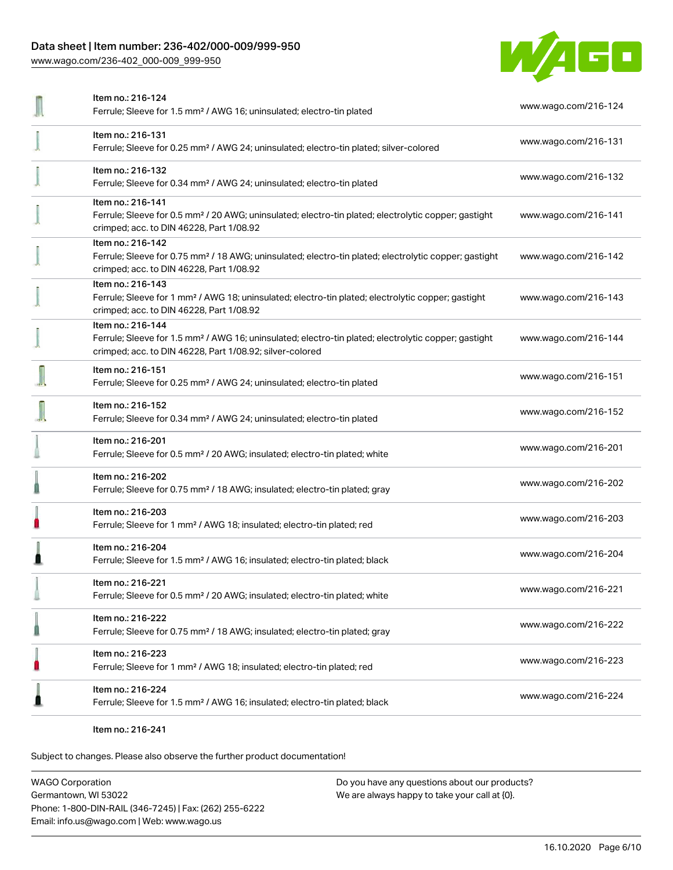## Data sheet | Item number: 236-402/000-009/999-950

[www.wago.com/236-402\\_000-009\\_999-950](http://www.wago.com/236-402_000-009_999-950)



| Item no.: 216-124                                                                                                                                                                                 |                      |  |
|---------------------------------------------------------------------------------------------------------------------------------------------------------------------------------------------------|----------------------|--|
| Ferrule; Sleeve for 1.5 mm <sup>2</sup> / AWG 16; uninsulated; electro-tin plated                                                                                                                 | www.wago.com/216-124 |  |
| Item no.: 216-131<br>Ferrule; Sleeve for 0.25 mm <sup>2</sup> / AWG 24; uninsulated; electro-tin plated; silver-colored                                                                           | www.wago.com/216-131 |  |
| Item no.: 216-132<br>Ferrule; Sleeve for 0.34 mm <sup>2</sup> / AWG 24; uninsulated; electro-tin plated                                                                                           | www.wago.com/216-132 |  |
| Item no.: 216-141<br>Ferrule; Sleeve for 0.5 mm <sup>2</sup> / 20 AWG; uninsulated; electro-tin plated; electrolytic copper; gastight<br>crimped; acc. to DIN 46228, Part 1/08.92                 | www.wago.com/216-141 |  |
| Item no.: 216-142<br>Ferrule; Sleeve for 0.75 mm <sup>2</sup> / 18 AWG; uninsulated; electro-tin plated; electrolytic copper; gastight<br>crimped; acc. to DIN 46228, Part 1/08.92                | www.wago.com/216-142 |  |
| Item no.: 216-143<br>Ferrule; Sleeve for 1 mm <sup>2</sup> / AWG 18; uninsulated; electro-tin plated; electrolytic copper; gastight<br>crimped; acc. to DIN 46228, Part 1/08.92                   | www.wago.com/216-143 |  |
| Item no.: 216-144<br>Ferrule; Sleeve for 1.5 mm <sup>2</sup> / AWG 16; uninsulated; electro-tin plated; electrolytic copper; gastight<br>crimped; acc. to DIN 46228, Part 1/08.92; silver-colored | www.wago.com/216-144 |  |
| Item no.: 216-151<br>Ferrule; Sleeve for 0.25 mm <sup>2</sup> / AWG 24; uninsulated; electro-tin plated                                                                                           | www.wago.com/216-151 |  |
| Item no.: 216-152<br>Ferrule; Sleeve for 0.34 mm <sup>2</sup> / AWG 24; uninsulated; electro-tin plated                                                                                           | www.wago.com/216-152 |  |
| Item no.: 216-201<br>Ferrule; Sleeve for 0.5 mm <sup>2</sup> / 20 AWG; insulated; electro-tin plated; white                                                                                       | www.wago.com/216-201 |  |
| Item no.: 216-202<br>Ferrule; Sleeve for 0.75 mm <sup>2</sup> / 18 AWG; insulated; electro-tin plated; gray                                                                                       | www.wago.com/216-202 |  |
| Item no.: 216-203<br>Ferrule; Sleeve for 1 mm <sup>2</sup> / AWG 18; insulated; electro-tin plated; red                                                                                           | www.wago.com/216-203 |  |
| Item no.: 216-204<br>Ferrule; Sleeve for 1.5 mm <sup>2</sup> / AWG 16; insulated; electro-tin plated; black                                                                                       | www.wago.com/216-204 |  |
| ltem no.: 216-221<br>Ferrule; Sleeve for 0.5 mm <sup>2</sup> / 20 AWG; insulated; electro-tin plated; white                                                                                       | www.wago.com/216-221 |  |
| Item no.: 216-222<br>Ferrule; Sleeve for 0.75 mm <sup>2</sup> / 18 AWG; insulated; electro-tin plated; gray                                                                                       | www.wago.com/216-222 |  |
| Item no.: 216-223<br>Ferrule; Sleeve for 1 mm <sup>2</sup> / AWG 18; insulated; electro-tin plated; red                                                                                           | www.wago.com/216-223 |  |
| Item no.: 216-224<br>Ferrule; Sleeve for 1.5 mm <sup>2</sup> / AWG 16; insulated; electro-tin plated; black                                                                                       | www.wago.com/216-224 |  |

Item no.: 216-241

Subject to changes. Please also observe the further product documentation!

WAGO Corporation Germantown, WI 53022 Phone: 1-800-DIN-RAIL (346-7245) | Fax: (262) 255-6222 Email: info.us@wago.com | Web: www.wago.us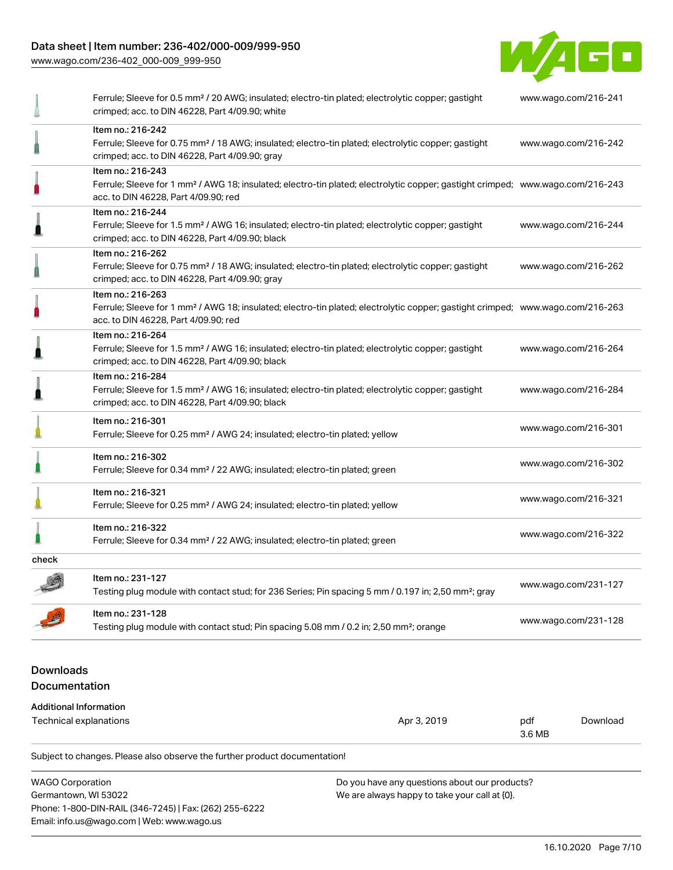## Data sheet | Item number: 236-402/000-009/999-950

[www.wago.com/236-402\\_000-009\\_999-950](http://www.wago.com/236-402_000-009_999-950)



|                               | Subject to changes. Please also observe the further product documentation!                                                                                                                              |               |                      |
|-------------------------------|---------------------------------------------------------------------------------------------------------------------------------------------------------------------------------------------------------|---------------|----------------------|
|                               | <b>Technical explanations</b><br>Apr 3, 2019                                                                                                                                                            | pdf<br>3.6 MB | Download             |
| <b>Additional Information</b> |                                                                                                                                                                                                         |               |                      |
| <b>Documentation</b>          |                                                                                                                                                                                                         |               |                      |
| <b>Downloads</b>              |                                                                                                                                                                                                         |               |                      |
|                               |                                                                                                                                                                                                         |               |                      |
|                               | Testing plug module with contact stud; Pin spacing 5.08 mm / 0.2 in; 2,50 mm <sup>2</sup> ; orange                                                                                                      |               | www.wago.com/231-128 |
|                               | Item no.: 231-128                                                                                                                                                                                       |               |                      |
|                               | Item no.: 231-127<br>Testing plug module with contact stud; for 236 Series; Pin spacing 5 mm / 0.197 in; 2,50 mm <sup>2</sup> ; gray                                                                    |               | www.wago.com/231-127 |
| check                         |                                                                                                                                                                                                         |               |                      |
|                               |                                                                                                                                                                                                         |               |                      |
|                               | Item no.: 216-322<br>Ferrule; Sleeve for 0.34 mm <sup>2</sup> / 22 AWG; insulated; electro-tin plated; green                                                                                            |               | www.wago.com/216-322 |
|                               | Item no.: 216-321<br>Ferrule; Sleeve for 0.25 mm <sup>2</sup> / AWG 24; insulated; electro-tin plated; yellow                                                                                           |               | www.wago.com/216-321 |
|                               | Item no.: 216-302<br>Ferrule; Sleeve for 0.34 mm <sup>2</sup> / 22 AWG; insulated; electro-tin plated; green                                                                                            |               | www.wago.com/216-302 |
|                               | Item no.: 216-301<br>Ferrule; Sleeve for 0.25 mm <sup>2</sup> / AWG 24; insulated; electro-tin plated; yellow                                                                                           |               | www.wago.com/216-301 |
|                               | Item no.: 216-284<br>Ferrule; Sleeve for 1.5 mm <sup>2</sup> / AWG 16; insulated; electro-tin plated; electrolytic copper; gastight<br>crimped; acc. to DIN 46228, Part 4/09.90; black                  |               | www.wago.com/216-284 |
|                               | Item no.: 216-264<br>Ferrule; Sleeve for 1.5 mm <sup>2</sup> / AWG 16; insulated; electro-tin plated; electrolytic copper; gastight<br>crimped; acc. to DIN 46228, Part 4/09.90; black                  |               | www.wago.com/216-264 |
|                               | Item no.: 216-263<br>Ferrule; Sleeve for 1 mm <sup>2</sup> / AWG 18; insulated; electro-tin plated; electrolytic copper; gastight crimped; www.wago.com/216-263<br>acc. to DIN 46228, Part 4/09.90; red |               |                      |
|                               | Item no.: 216-262<br>Ferrule; Sleeve for 0.75 mm <sup>2</sup> / 18 AWG; insulated; electro-tin plated; electrolytic copper; gastight<br>crimped; acc. to DIN 46228, Part 4/09.90; gray                  |               | www.wago.com/216-262 |
|                               | Item no.: 216-244<br>Ferrule; Sleeve for 1.5 mm <sup>2</sup> / AWG 16; insulated; electro-tin plated; electrolytic copper; gastight<br>crimped; acc. to DIN 46228, Part 4/09.90; black                  |               | www.wago.com/216-244 |
|                               | Item no.: 216-243<br>Ferrule; Sleeve for 1 mm <sup>2</sup> / AWG 18; insulated; electro-tin plated; electrolytic copper; gastight crimped; www.wago.com/216-243<br>acc. to DIN 46228, Part 4/09.90; red |               |                      |
|                               | Item no.: 216-242<br>Ferrule; Sleeve for 0.75 mm <sup>2</sup> / 18 AWG; insulated; electro-tin plated; electrolytic copper; gastight<br>crimped; acc. to DIN 46228, Part 4/09.90; gray                  |               | www.wago.com/216-242 |
|                               | Ferrule; Sleeve for 0.5 mm <sup>2</sup> / 20 AWG; insulated; electro-tin plated; electrolytic copper; gastight<br>crimped; acc. to DIN 46228, Part 4/09.90; white                                       |               | www.wago.com/216-241 |

WAGO Corporation Germantown, WI 53022 Phone: 1-800-DIN-RAIL (346-7245) | Fax: (262) 255-6222 Email: info.us@wago.com | Web: www.wago.us Do you have any questions about our products? We are always happy to take your call at {0}.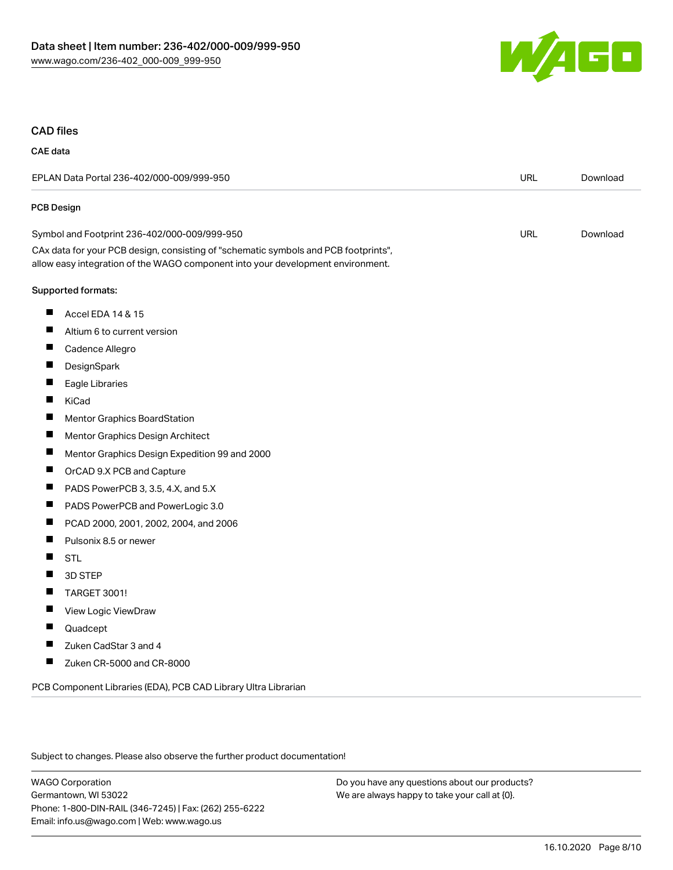

### CAD files

## CAE data

| EPLAN Data Portal 236-402/000-009/999-950                                                                                                                              |            | Download |
|------------------------------------------------------------------------------------------------------------------------------------------------------------------------|------------|----------|
| PCB Design                                                                                                                                                             |            |          |
| Symbol and Footprint 236-402/000-009/999-950                                                                                                                           | <b>URL</b> | Download |
| CAx data for your PCB design, consisting of "schematic symbols and PCB footprints",<br>allow easy integration of the WAGO component into your development environment. |            |          |
| Supported formats:                                                                                                                                                     |            |          |
| ш<br>Accel EDA 14 & 15                                                                                                                                                 |            |          |
| Altium 6 to current version                                                                                                                                            |            |          |
| ш<br>Cadence Allegro                                                                                                                                                   |            |          |
| DesignSpark                                                                                                                                                            |            |          |
| Eagle Libraries                                                                                                                                                        |            |          |
| KiCad                                                                                                                                                                  |            |          |
| П<br>Mentor Graphics BoardStation                                                                                                                                      |            |          |
| Ш<br>Mentor Graphics Design Architect                                                                                                                                  |            |          |
| ш<br>Mentor Graphics Design Expedition 99 and 2000                                                                                                                     |            |          |
| П<br>OrCAD 9.X PCB and Capture                                                                                                                                         |            |          |
| ш<br>PADS PowerPCB 3, 3.5, 4.X, and 5.X                                                                                                                                |            |          |
| ш<br>PADS PowerPCB and PowerLogic 3.0                                                                                                                                  |            |          |
| ш<br>PCAD 2000, 2001, 2002, 2004, and 2006                                                                                                                             |            |          |
| П<br>Pulsonix 8.5 or newer                                                                                                                                             |            |          |
| ш<br><b>STL</b>                                                                                                                                                        |            |          |
| П<br>3D STEP                                                                                                                                                           |            |          |
| ш<br><b>TARGET 3001!</b>                                                                                                                                               |            |          |
| Ш<br>View Logic ViewDraw                                                                                                                                               |            |          |
| Quadcept                                                                                                                                                               |            |          |
| Zuken CadStar 3 and 4<br>Ш                                                                                                                                             |            |          |
| Zuken CR-5000 and CR-8000<br>ш                                                                                                                                         |            |          |
| PCB Component Libraries (EDA), PCB CAD Library Ultra Librarian                                                                                                         |            |          |

Subject to changes. Please also observe the further product documentation!

WAGO Corporation Germantown, WI 53022 Phone: 1-800-DIN-RAIL (346-7245) | Fax: (262) 255-6222 Email: info.us@wago.com | Web: www.wago.us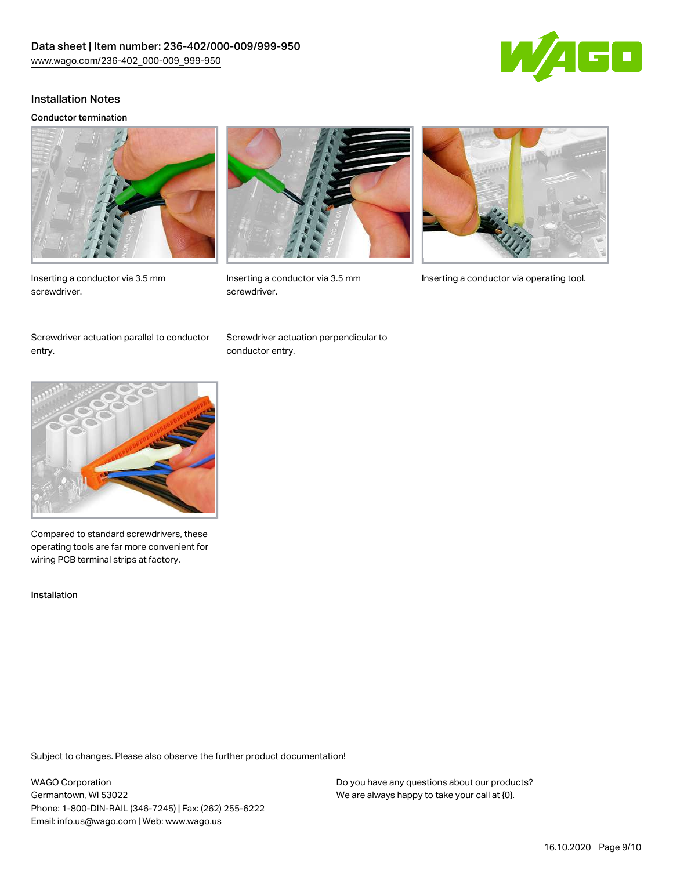

### Installation Notes

#### Conductor termination







screwdriver.



Inserting a conductor via 3.5 mm Inserting a conductor via operating tool.

Screwdriver actuation parallel to conductor entry.

Screwdriver actuation perpendicular to conductor entry.



Compared to standard screwdrivers, these operating tools are far more convenient for wiring PCB terminal strips at factory.

Installation

Subject to changes. Please also observe the further product documentation!

WAGO Corporation Germantown, WI 53022 Phone: 1-800-DIN-RAIL (346-7245) | Fax: (262) 255-6222 Email: info.us@wago.com | Web: www.wago.us